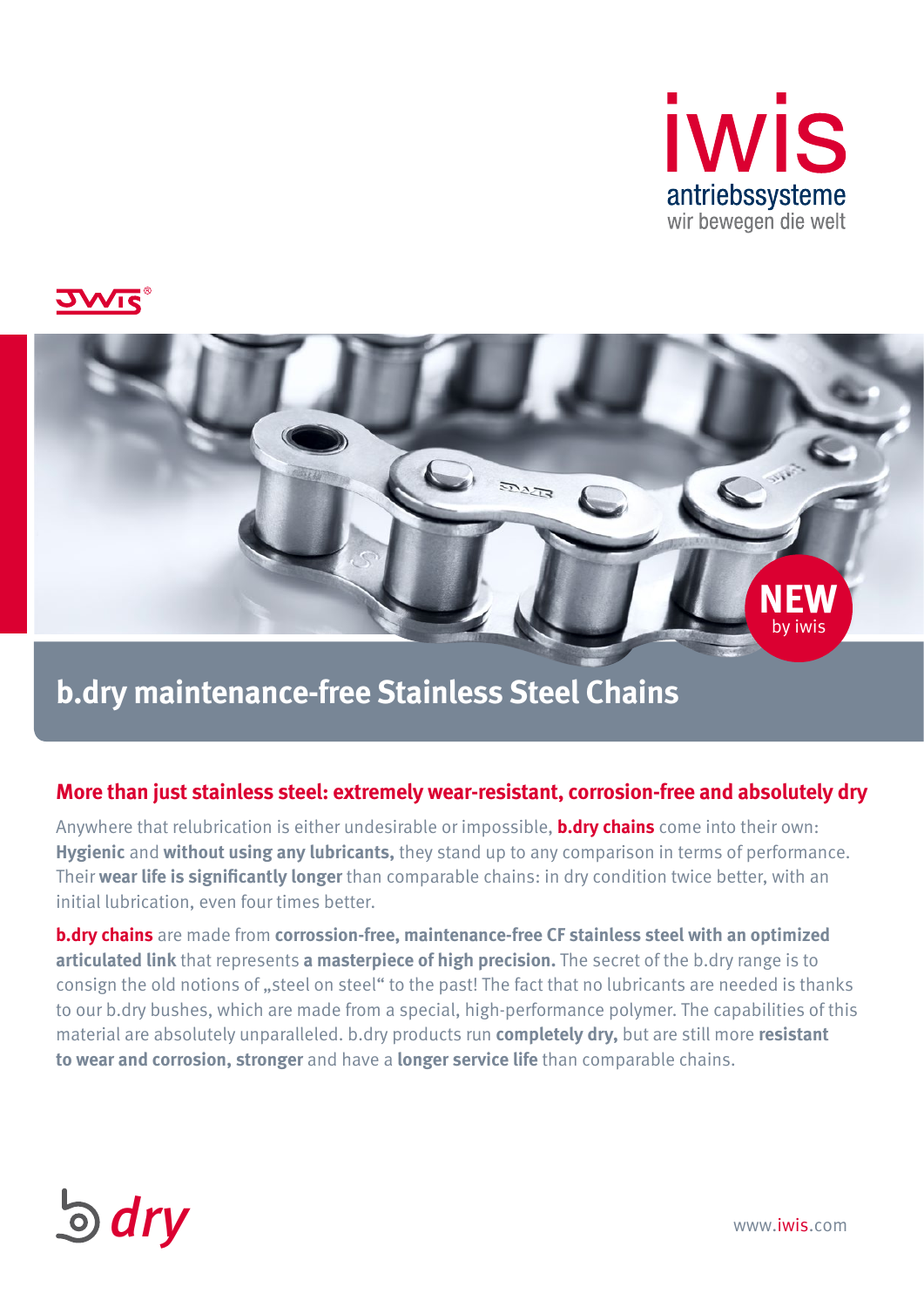

**JWIS** 



## **b.dry maintenance-free Stainless Steel Chains**

### **More than just stainless steel: extremely wear-resistant, corrosion-free and absolutely dry**

Anywhere that relubrication is either undesirable or impossible, **b.dry chains** come into their own: **Hygienic** and **without using any lubricants,** they stand up to any comparison in terms of performance. Their **wear life is significantly longer** than comparable chains: in dry condition twice better, with an initial lubrication, even four times better.

**b.dry chains** are made from **corrossion-free, maintenance-free CF stainless steel with an optimized articulated link** that represents **a masterpiece of high precision.** The secret of the b.dry range is to consign the old notions of "steel on steel" to the past! The fact that no lubricants are needed is thanks to our b.dry bushes, which are made from a special, high-performance polymer. The capabilities of this material are absolutely unparalleled. b.dry products run **completely dry,** but are still more **resistant to wear and corrosion, stronger** and have a **longer service life** than comparable chains.



www.iwis.com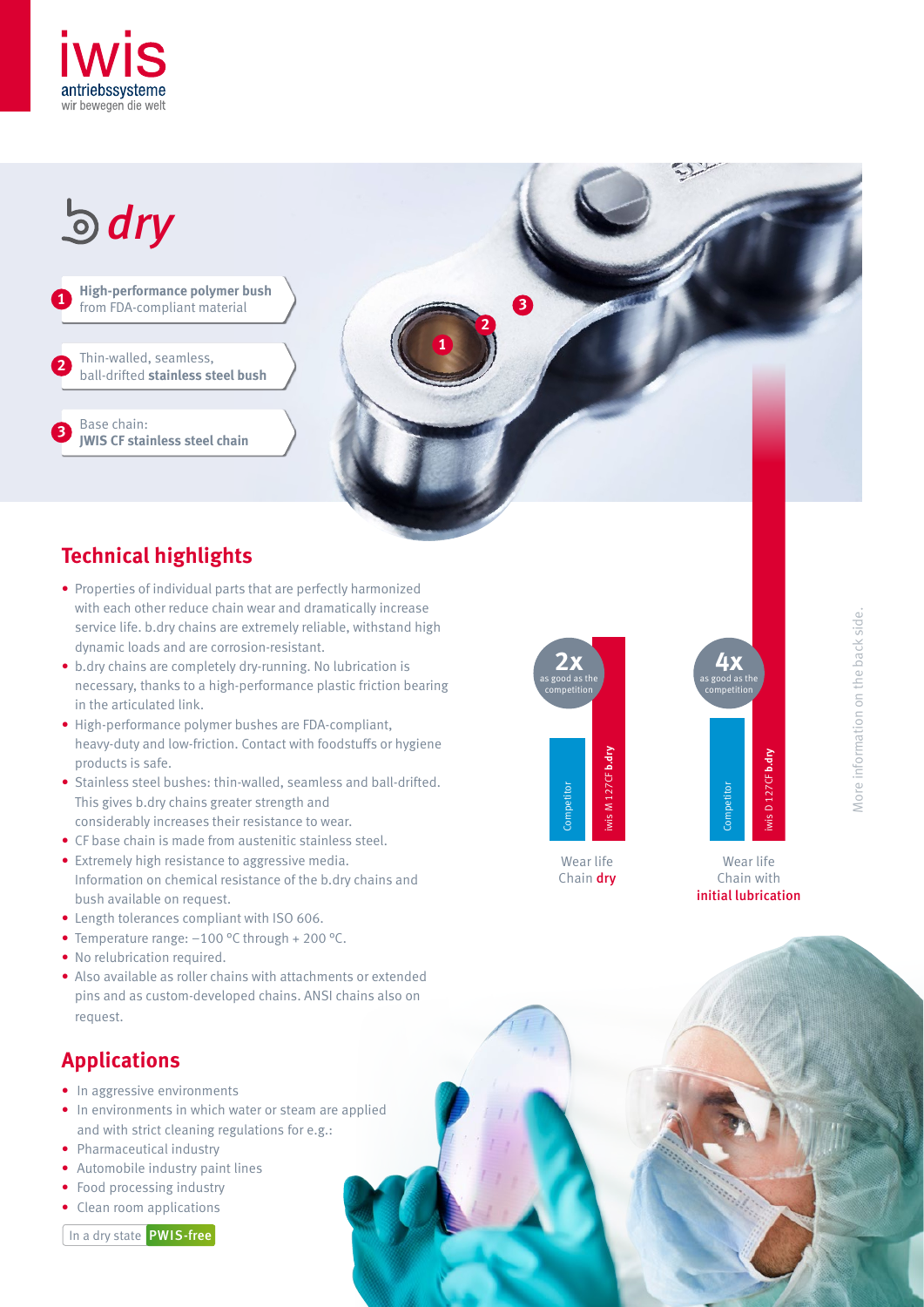



## **Technical highlights**

- Properties of individual parts that are perfectly harmonized with each other reduce chain wear and dramatically increase service life. b.dry chains are extremely reliable, withstand high dynamic loads and are corrosion-resistant.
- b.dry chains are completely dry-running. No lubrication is necessary, thanks to a high-performance plastic friction bearing in the articulated link.
- High-performance polymer bushes are FDA-compliant, heavy-duty and low-friction. Contact with foodstuffs or hygiene products is safe.
- Stainless steel bushes: thin-walled, seamless and ball-drifted. This gives b.dry chains greater strength and considerably increases their resistance to wear.
- CF base chain is made from austenitic stainless steel.
- Extremely high resistance to aggressive media. Information on chemical resistance of the b.dry chains and bush available on request.
- Length tolerances compliant with ISO 606.
- Temperature range: -100 °C through + 200 °C.
- No relubrication required.
- Also available as roller chains with attachments or extended pins and as custom-developed chains. ANSI chains also on request.

## **Applications**

- In aggressive environments
- In environments in which water or steam are applied and with strict cleaning regulations for e.g.:
- Pharmaceutical industry
- Automobile industry paint lines
- Food processing industry
- Clean room applications

In a dry state PWIS-free





Wear life Chain dry

Wear life Chain with initial lubrication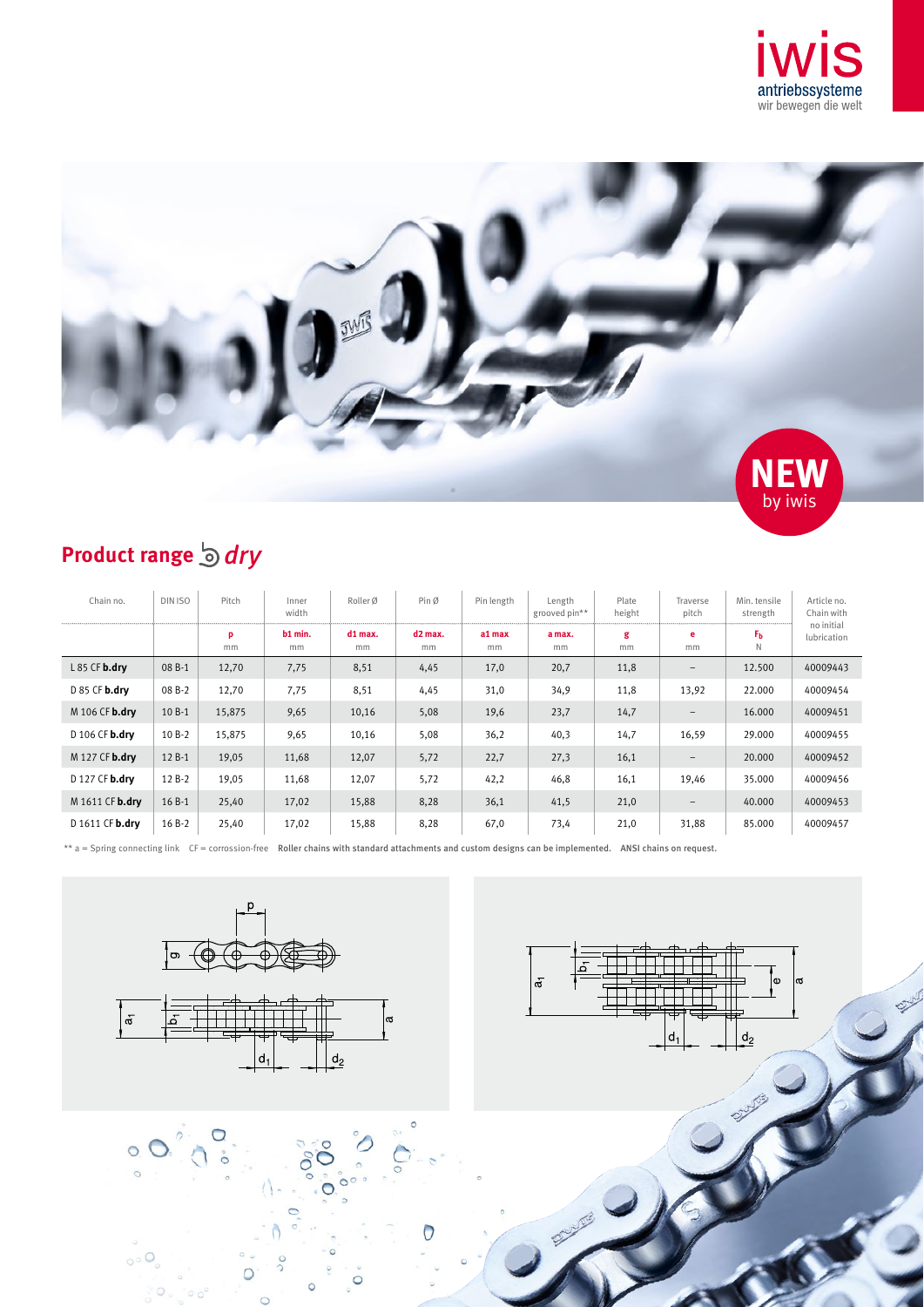



## **Product range**  $\frac{1}{2}$  *dry*

| Chain no.              | DIN ISO | Pitch   | Inner<br>width | Roller Ø        | Pin Ø           | Pin length   | Length<br>grooved pin** | Plate<br>height | Traverse<br>pitch        | Min. tensile<br>strength | Article no.<br>Chain with<br>no initial<br>lubrication |
|------------------------|---------|---------|----------------|-----------------|-----------------|--------------|-------------------------|-----------------|--------------------------|--------------------------|--------------------------------------------------------|
|                        |         | p<br>mm | b1 min.<br>mm  | $d1$ max.<br>mm | $d2$ max.<br>mm | a1 max<br>mm | a max.<br>mm            | g<br>mm         | e<br>mm                  | Fь<br>N                  |                                                        |
| L 85 CF b.dry          | 08 B-1  | 12,70   | 7,75           | 8,51            | 4,45            | 17,0         | 20,7                    | 11,8            | $\qquad \qquad -$        | 12.500                   | 40009443                                               |
| D 85 CF <b>b.drv</b>   | 08 B-2  | 12,70   | 7,75           | 8,51            | 4,45            | 31,0         | 34,9                    | 11,8            | 13,92                    | 22.000                   | 40009454                                               |
| M 106 CF <b>b.drv</b>  | 10 B-1  | 15,875  | 9,65           | 10,16           | 5,08            | 19,6         | 23,7                    | 14,7            | $\overline{\phantom{m}}$ | 16.000                   | 40009451                                               |
| D 106 CF <b>b.drv</b>  | 10 B-2  | 15,875  | 9,65           | 10,16           | 5,08            | 36,2         | 40,3                    | 14,7            | 16,59                    | 29.000                   | 40009455                                               |
| M 127 CF <b>b.drv</b>  | 12 B-1  | 19,05   | 11,68          | 12,07           | 5,72            | 22,7         | 27,3                    | 16,1            | $\qquad \qquad -$        | 20,000                   | 40009452                                               |
| D 127 CF <b>b.drv</b>  | 12 B-2  | 19,05   | 11,68          | 12,07           | 5,72            | 42,2         | 46,8                    | 16,1            | 19,46                    | 35.000                   | 40009456                                               |
| M 1611 CF <b>b.drv</b> | 16 B-1  | 25,40   | 17,02          | 15,88           | 8,28            | 36,1         | 41,5                    | 21,0            | $\qquad \qquad -$        | 40.000                   | 40009453                                               |
| D 1611 CF <b>b.drv</b> | 16 B-2  | 25,40   | 17,02          | 15,88           | 8,28            | 67,0         | 73,4                    | 21,0            | 31,88                    | 85.000                   | 40009457                                               |

\*\* a = Spring connecting link CF = corrossion-free Roller chains with standard attachments and custom designs can be implemented. ANSI chains on request.